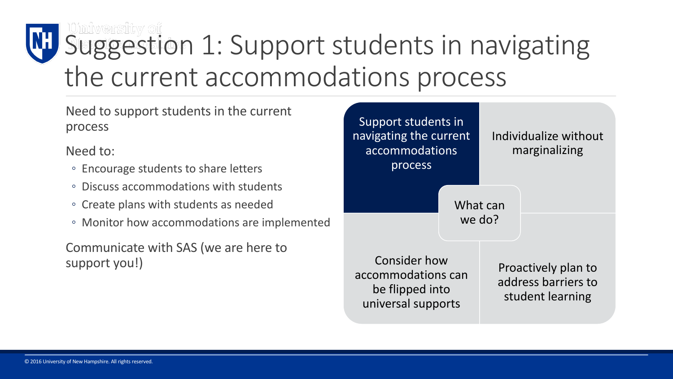# W. Suggestion 1: Support students in navigating the current accommodations process

Need to support students in the current process

Need to:

- Encourage students to share letters
- Discuss accommodations with students
- Create plans with students as needed
- Monitor how accommodations are implemented

Communicate with SAS (we are here to support you!)

Support students in navigating the current accommodations process



Consider how accommodations can be flipped into universal supports

Proactively plan to address barriers to student learning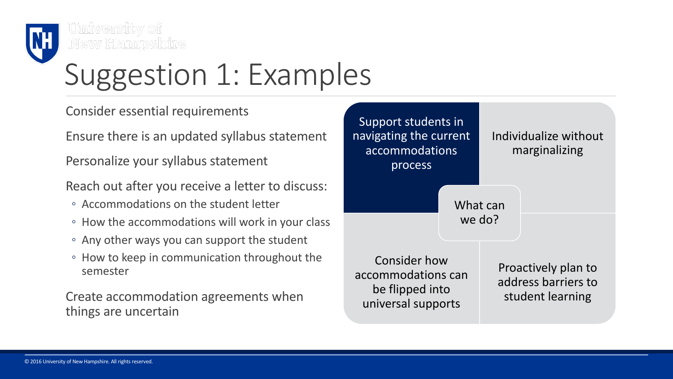

<u>University of</u> New Hampshire

## Suggestion 1: Examples

Consider essential requirements

Ensure there is an updated syllabus statement

Personalize your syllabus statement

Reach out after you receive a letter to discuss:

- Accommodations on the student letter
- How the accommodations will work in your class
- Any other ways you can support the student
- How to keep in communication throughout the semester

Create accommodation agreements when things are uncertain

Support students in navigating the current accommodations process

#### Individualize without marginalizing

Consider how accommodations can be flipped into universal supports

Proactively plan to address barriers to student learning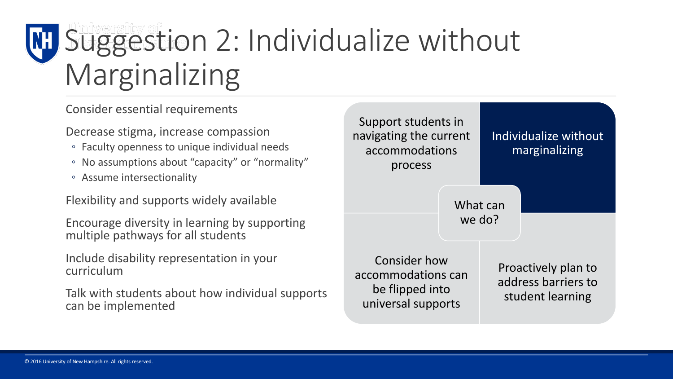# Suggestion 2: Individualize without Marginalizing

Consider essential requirements

Decrease stigma, increase compassion

- Faculty openness to unique individual needs
- No assumptions about "capacity" or "normality"
- Assume intersectionality

Flexibility and supports widely available

Encourage diversity in learning by supporting multiple pathways for all students

Include disability representation in your curriculum

Talk with students about how individual supports can be implemented

Support students in navigating the current accommodations process

### Individualize without marginalizing

Consider how accommodations can be flipped into universal supports

Proactively plan to address barriers to student learning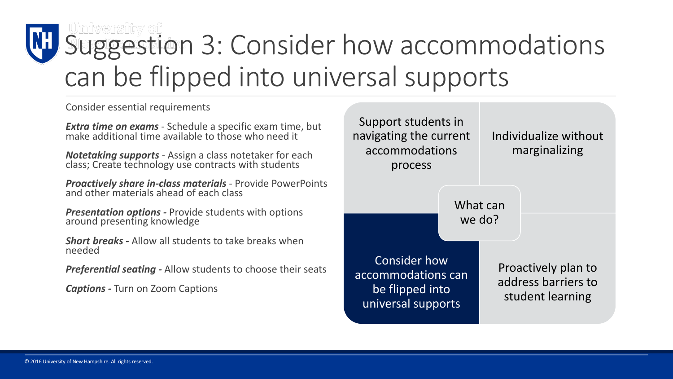## WI Suggestion 3: Consider how accommodations can be flipped into universal supports

Consider essential requirements

*Extra time on exams* - Schedule a specific exam time, but make additional time available to those who need it

*Notetaking supports* - Assign a class notetaker for each class; Create technology use contracts with students

*Proactively share in-class materials* - Provide PowerPoints and other materials ahead of each class

*Presentation options -* Provide students with options around presenting knowledge

*Short breaks -* Allow all students to take breaks when needed

*Preferential seating -* Allow students to choose their seats

*Captions -* Turn on Zoom Captions

Support students in navigating the current accommodations process

### Individualize without marginalizing

Consider how accommodations can be flipped into universal supports

Proactively plan to address barriers to student learning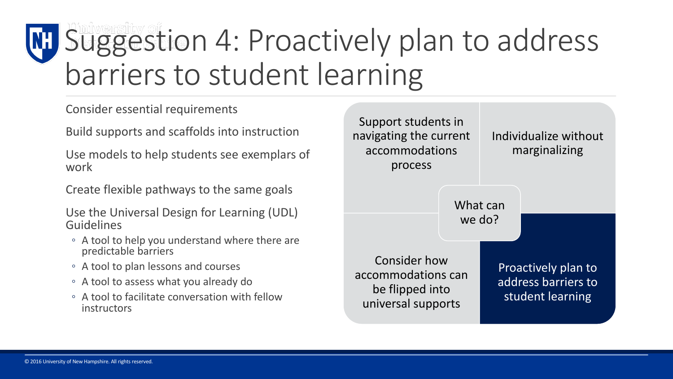

# **NI Suggestion 4: Proactively plan to address** barriers to student learning

Consider essential requirements

Build supports and scaffolds into instruction

Use models to help students see exemplars of work

Create flexible pathways to the same goals

Use the Universal Design for Learning (UDL) Guidelines

- A tool to help you understand where there are predictable barriers
- A tool to plan lessons and courses
- A tool to assess what you already do
- A tool to facilitate conversation with fellow instructors

Support students in navigating the current accommodations process

#### Individualize without marginalizing

Consider how accommodations can be flipped into universal supports

Proactively plan to address barriers to student learning